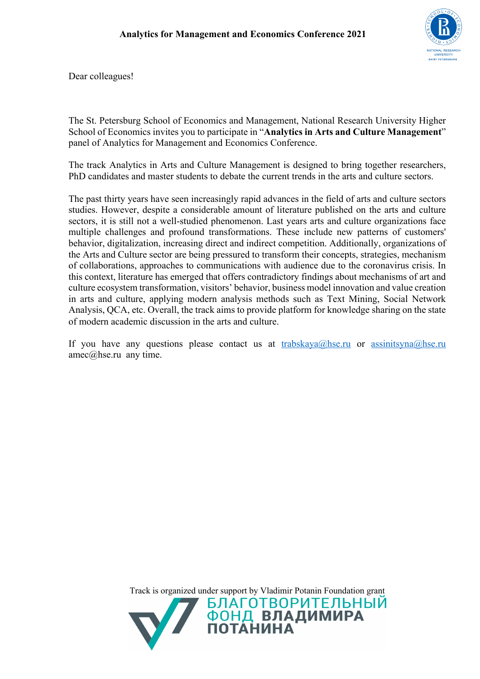

Dear colleagues!

The St. Petersburg School of Economics and Management, National Research University Higher School of Economics invites you to participate in "**Analytics in Arts and Culture Management**" panel of Analytics for Management and Economics Conference.

The track Analytics in Arts and Culture Management is designed to bring together researchers, PhD candidates and master students to debate the current trends in the arts and culture sectors.

The past thirty years have seen increasingly rapid advances in the field of arts and culture sectors studies. However, despite a considerable amount of literature published on the arts and culture sectors, it is still not a well-studied phenomenon. Last years arts and culture organizations face multiple challenges and profound transformations. These include new patterns of customers' behavior, digitalization, increasing direct and indirect competition. Additionally, organizations of the Arts and Culture sector are being pressured to transform their concepts, strategies, mechanism of collaborations, approaches to communications with audience due to the coronavirus crisis. In this context, literature has emerged that offers contradictory findings about mechanisms of art and culture ecosystem transformation, visitors' behavior, business model innovation and value creation in arts and culture, applying modern analysis methods such as Text Mining, Social Network Analysis, QCA, etc. Overall, the track aims to provide platform for knowledge sharing on the state of modern academic discussion in the arts and culture.

If you have any questions please contact us at  $\frac{trabskaya@hse.ru}{trabskaya@hse.ru}$  or  $\frac{assignitsyna@hse.ru}{strabskaya@hse.tu}$ amec@hse.ru any time.

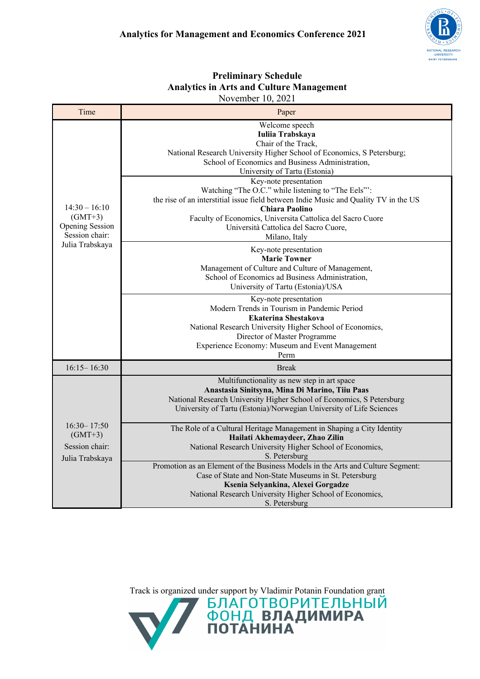| Analytics in Arts and Culture Management<br>November 10, 2021                        |                                                                                                                                                                                                                                                                                                                       |  |
|--------------------------------------------------------------------------------------|-----------------------------------------------------------------------------------------------------------------------------------------------------------------------------------------------------------------------------------------------------------------------------------------------------------------------|--|
| Time                                                                                 | Paper                                                                                                                                                                                                                                                                                                                 |  |
| $14:30 - 16:10$<br>$(GMT+3)$<br>Opening Session<br>Session chair:<br>Julia Trabskaya | Welcome speech<br>Iuliia Trabskaya<br>Chair of the Track.<br>National Research University Higher School of Economics, S Petersburg;<br>School of Economics and Business Administration,<br>University of Tartu (Estonia)                                                                                              |  |
|                                                                                      | Key-note presentation<br>Watching "The O.C." while listening to "The Eels"":<br>the rise of an interstitial issue field between Indie Music and Quality TV in the US<br><b>Chiara Paolino</b><br>Faculty of Economics, Universita Cattolica del Sacro Cuore<br>Università Cattolica del Sacro Cuore,<br>Milano, Italy |  |
|                                                                                      | Key-note presentation<br><b>Marie Towner</b><br>Management of Culture and Culture of Management,<br>School of Economics ad Business Administration,<br>University of Tartu (Estonia)/USA                                                                                                                              |  |
|                                                                                      | Key-note presentation<br>Modern Trends in Tourism in Pandemic Period<br><b>Ekaterina Shestakova</b><br>National Research University Higher School of Economics,<br>Director of Master Programme<br>Experience Economy: Museum and Event Management<br>Perm                                                            |  |
| $16:15 - 16:30$                                                                      | <b>Break</b>                                                                                                                                                                                                                                                                                                          |  |
| $16:30 - 17:50$<br>$(GMT+3)$<br>Session chair:<br>Julia Trabskaya                    | Multifunctionality as new step in art space<br>Anastasia Sinitsyna, Mina Di Marino, Tiiu Paas<br>National Research University Higher School of Economics, S Petersburg<br>University of Tartu (Estonia)/Norwegian University of Life Sciences                                                                         |  |
|                                                                                      | The Role of a Cultural Heritage Management in Shaping a City Identity<br>Hailati Akhemaydeer, Zhao Zilin<br>National Research University Higher School of Economics,<br>S. Petersburg                                                                                                                                 |  |
|                                                                                      | Promotion as an Element of the Business Models in the Arts and Culture Segment:<br>Case of State and Non-State Museums in St. Petersburg<br>Ksenia Selyankina, Alexei Gorgadze<br>National Research University Higher School of Economics,<br>S. Petersburg                                                           |  |

## **Preliminary Schedule Analytics in Arts and Culture Management**